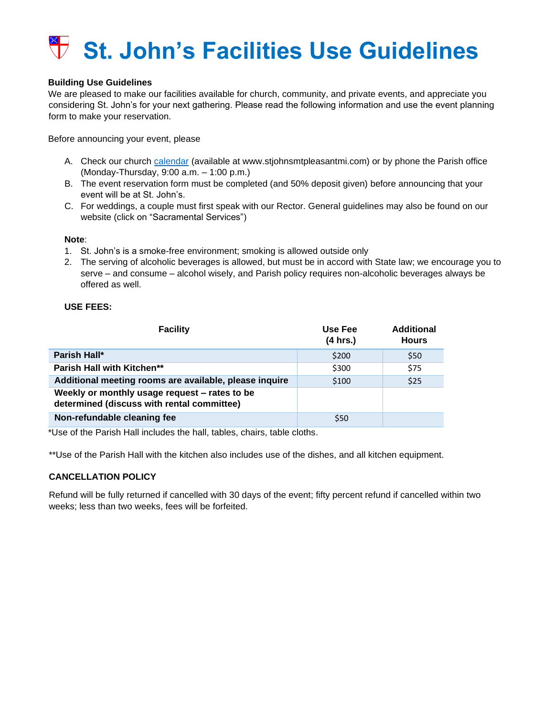# **St. John's Facilities Use Guidelines**

## **Building Use Guidelines**

We are pleased to make our facilities available for church, community, and private events, and appreciate you considering St. John's for your next gathering. Please read the following information and use the event planning form to make your reservation.

Before announcing your event, please

- A. Check our church [calendar](https://www.stjohnsmtpleasantmi.com/calendar.html) (available at www.stjohnsmtpleasantmi.com) or by phone the Parish office (Monday-Thursday, 9:00 a.m. – 1:00 p.m.)
- B. The event reservation form must be completed (and 50% deposit given) before announcing that your event will be at St. John's.
- C. For weddings, a couple must first speak with our Rector. General guidelines may also be found on our website (click on "Sacramental Services")

#### **Note**:

- 1. St. John's is a smoke-free environment; smoking is allowed outside only
- 2. The serving of alcoholic beverages is allowed, but must be in accord with State law; we encourage you to serve – and consume – alcohol wisely, and Parish policy requires non-alcoholic beverages always be offered as well.

#### **USE FEES:**

| <b>Facility</b>                                                                             | Use Fee<br>(4 hrs.) | <b>Additional</b><br><b>Hours</b> |
|---------------------------------------------------------------------------------------------|---------------------|-----------------------------------|
| Parish Hall*                                                                                | \$200               | \$50                              |
| Parish Hall with Kitchen**                                                                  | \$300               | \$75                              |
| Additional meeting rooms are available, please inquire                                      | \$100               | \$25                              |
| Weekly or monthly usage request - rates to be<br>determined (discuss with rental committee) |                     |                                   |
| Non-refundable cleaning fee                                                                 | \$50                |                                   |

\*Use of the Parish Hall includes the hall, tables, chairs, table cloths.

\*\*Use of the Parish Hall with the kitchen also includes use of the dishes, and all kitchen equipment.

# **CANCELLATION POLICY**

Refund will be fully returned if cancelled with 30 days of the event; fifty percent refund if cancelled within two weeks; less than two weeks, fees will be forfeited.